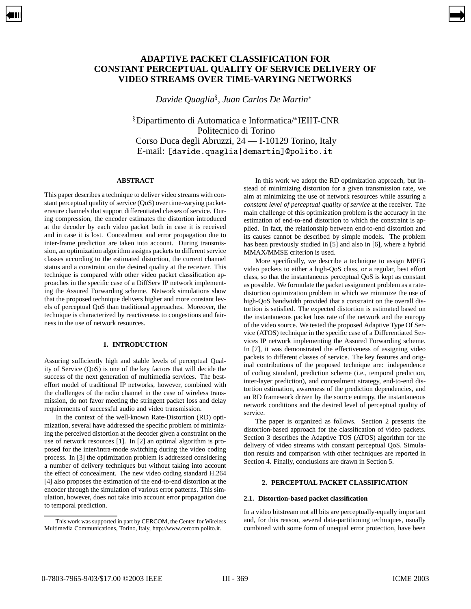# **ADAPTIVE PACKET CLASSIFICATION FOR CONSTANT PERCEPTUAL QUALITY OF SERVICE DELIVERY OF VIDEO STREAMS OVER TIME-VARYING NETWORKS**

<span id="page-0-0"></span>[➡](#page-1-0)

*Davide Quaglia , Juan Carlos De Martin*

 $\mathrm{s}$ Dipartimento di Automatica e Informatica/\*IEIIT-CNR Politecnico di Torino Corso Duca degli Abruzzi, 24 — I-10129 Torino, Italy E-mail: [davide.quaglia|demartin]@polito.it

# **ABSTRACT**

This paper describes a technique to deliver video streams with constant perceptual quality of service (QoS) over time-varying packeterasure channels that support differentiated classes of service. During compression, the encoder estimates the distortion introduced at the decoder by each video packet both in case it is received and in case it is lost. Concealment and error propagation due to inter-frame prediction are taken into account. During transmission, an optimization algorithm assigns packets to different service classes according to the estimated distortion, the current channel status and a constraint on the desired quality at the receiver. This technique is compared with other video packet classification approaches in the specific case of a DiffServ IP network implementing the Assured Forwarding scheme. Network simulations show that the proposed technique delivers higher and more constant levels of perceptual QoS than traditional approaches. Moreover, the technique is characterized by reactiveness to congestions and fairness in the use of network resources.

### **1. INTRODUCTION**

Assuring sufficiently high and stable levels of perceptual Quality of Service (QoS) is one of the key factors that will decide the success of the next generation of multimedia services. The besteffort model of traditional IP networks, however, combined with the challenges of the radio channel in the case of wireless transmission, do not favor meeting the stringent packet loss and delay requirements of successful audio and video transmission.

In the context of the well-known Rate-Distortion (RD) optimization, several have addressed the specific problem of minimizing the perceived distortion at the decoder given a constraint on the use of network resources [1]. In [2] an optimal algorithm is proposed for the inter/intra-mode switching during the video coding process. In [3] the optimization problem is addressed considering a number of delivery techniques but without taking into account the effect of concealment. The new video coding standard H.264 [4] also proposes the estimation of the end-to-end distortion at the encoder through the simulation of various error patterns. This simulation, however, does not take into account error propagation due to temporal prediction.

In this work we adopt the RD optimization approach, but instead of minimizing distortion for a given transmission rate, we aim at minimizing the use of network resources while assuring a *constant level of perceptual quality of service* at the receiver. The main challenge of this optimization problem is the accuracy in the estimation of end-to-end distortion to which the constraint is applied. In fact, the relationship between end-to-end distortion and its causes cannot be described by simple models. The problem has been previously studied in [5] and also in [6], where a hybrid MMAX/MMSE criterion is used.

More specifically, we describe a technique to assign MPEG video packets to either a high-QoS class, or a regular, best effort class, so that the instantaneous perceptual QoS is kept as constant as possible. We formulate the packet assignment problem as a ratedistortion optimization problem in which we minimize the use of high-QoS bandwidth provided that a constraint on the overall distortion is satisfied. The expected distortion is estimated based on the instantaneous packet loss rate of the network and the entropy of the video source. We tested the proposed Adaptive Type Of Service (ATOS) technique in the specific case of a Differentiated Services IP network implementing the Assured Forwarding scheme. In [7], it was demonstrated the effectiveness of assigning video packets to different classes of service. The key features and original contributions of the proposed technique are: independence of coding standard, prediction scheme (i.e., temporal prediction, inter-layer prediction), and concealment strategy, end-to-end distortion estimation, awareness of the prediction dependencies, and an RD framework driven by the source entropy, the instantaneous network conditions and the desired level of perceptual quality of service.

The paper is organized as follows. Section 2 presents the distortion-based approach for the classification of video packets. Section 3 describes the Adaptive TOS (ATOS) algorithm for the delivery of video streams with constant perceptual QoS. Simulation results and comparison with other techniques are reported in Section 4. Finally, conclusions are drawn in Section 5.

# **2. PERCEPTUAL PACKET CLASSIFICATION**

### **2.1. Distortion-based packet classification**

In a video bitstream not all bits are perceptually-equally important and, for this reason, several data-partitioning techniques, usually combined with some form of unequal error protection, have been

This work was supported in part by CERCOM, the Center for Wireless Multimedia Communications, Torino, Italy, http://www.cercom.polito.it.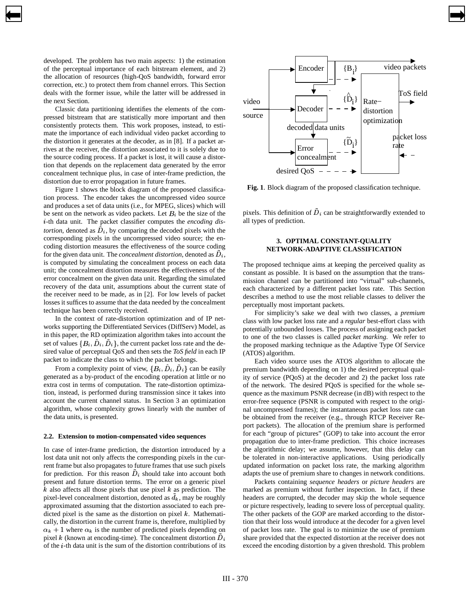developed. The problem has two main aspects: 1) the estimation of the perceptual importance of each bitstream element, and 2) the allocation of resources (high-QoS bandwidth, forward error correction, etc.) to protect them from channel errors. This Section deals with the former issue, while the latter will be addressed in the next Section.

<span id="page-1-0"></span>[➡](#page-0-0)

Classic data partitioning identifies the elements of the compressed bitstream that are statistically more important and then consistently protects them. This work proposes, instead, to estimate the importance of each individual video packet according to the distortion it generates at the decoder, as in [8]. If a packet arrives at the receiver, the distortion associated to it is solely due to the source coding process. If a packet is lost, it will cause a distortion that depends on the replacement data generated by the error concealment technique plus, in case of inter-frame prediction, the distortion due to error propagation in future frames.

Figure 1 shows the block diagram of the proposed classification process. The encoder takes the uncompressed video source and produces a set of data units (i.e., for MPEG, slices) which will be sent on the network as video packets. Let  $B_i$  be the size of the -th data unit. The packet classifier computes the *encoding distortion*, denoted as  $\hat{D}_i$ , by comparing the decoded pixels with the corresponding pixels in the uncompressed video source; the encoding distortion measures the effectiveness of the source coding for the given data unit. The *concealment distortion*, denoted as  $\tilde{D}_i$ , is computed by simulating the concealment process on each data unit; the concealment distortion measures the effectiveness of the error concealment on the given data unit. Regarding the simulated recovery of the data unit, assumptions about the current state of the receiver need to be made, as in [2]. For low levels of packet losses it suffices to assume that the data needed by the concealment technique has been correctly received.

In the context of rate-distortion optimization and of IP networks supporting the Differentiated Services (DiffServ) Model, as in this paper, the RD optimization algorithm takes into account the set of values  $\{B_i, \hat{D}_i, \tilde{D}_i\}$ , the current packet loss rate and the desired value of perceptual QoS and then sets the *ToS field* in each IP packet to indicate the class to which the packet belongs.

From a complexity point of view,  $\{B_i, \hat{D}_i, \tilde{D}_i\}$  can be easily generated as a by-product of the encoding operation at little or no extra cost in terms of computation. The rate-distortion optimization, instead, is performed during transmission since it takes into account the current channel status. In Section 3 an optimization algorithm, whose complexity grows linearly with the number of the data units, is presented.

#### **2.2. Extension to motion-compensated video sequences**

In case of inter-frame prediction, the distortion introduced by a lost data unit not only affects the corresponding pixels in the current frame but also propagates to future frames that use such pixels for prediction. For this reason  $D_i$  should take into account both present and future distortion terms. The error on a generic pixel  $k$  also affects all those pixels that use pixel  $k$  as prediction. The pixel-level concealment distortion, denoted as  $\tilde{d}_k$ , may be roughly approximated assuming that the distortion associated to each predicted pixel is the same as the distortion on pixel  $k$ . Mathematically, the distortion in the current frame is, therefore, multiplied by  $\alpha_k + 1$  where  $\alpha_k$  is the number of predicted pixels depending on pixel k (known at encoding-time). The concealment distortion  $\tilde{D}_i$ of the  $i$ -th data unit is the sum of the distortion contributions of its



[➡](#page-2-0)

**Fig. 1**. Block diagram of the proposed classification technique.

pixels. This definition of  $D_i$  can be straightforwardly extended to all types of prediction.

# **3. OPTIMAL CONSTANT-QUALITY NETWORK-ADAPTIVE CLASSIFICATION**

The proposed technique aims at keeping the perceived quality as constant as possible. It is based on the assumption that the transmission channel can be partitioned into "virtual" sub-channels, each characterized by a different packet loss rate. This Section describes a method to use the most reliable classes to deliver the perceptually most important packets.

For simplicity's sake we deal with two classes, a *premium* class with low packet loss rate and a *regular* best-effort class with potentially unbounded losses. The process of assigning each packet to one of the two classes is called *packet marking*. We refer to the proposed marking technique as the Adaptive Type Of Service (ATOS) algorithm.

Each video source uses the ATOS algorithm to allocate the premium bandwidth depending on 1) the desired perceptual quality of service (PQoS) at the decoder and 2) the packet loss rate of the network. The desired PQoS is specified for the whole sequence as the maximum PSNR decrease (in dB) with respect to the error-free sequence (PSNR is computed with respect to the original uncompressed frames); the instantaneous packet loss rate can be obtained from the receiver (e.g., through RTCP Receiver Report packets). The allocation of the premium share is performed for each "group of pictures" (GOP) to take into account the error propagation due to inter-frame prediction. This choice increases the algorithmic delay; we assume, however, that this delay can be tolerated in non-interactive applications. Using periodically updated information on packet loss rate, the marking algorithm adapts the use of premium share to changes in network conditions.

Packets containing *sequence headers* or *picture headers* are marked as premium without further inspection. In fact, if these headers are corrupted, the decoder may skip the whole sequence or picture respectively, leading to severe loss of perceptual quality. The other packets of the GOP are marked according to the distortion that their loss would introduce at the decoder for a given level of packet loss rate. The goal is to minimize the use of premium share provided that the expected distortion at the receiver does not exceed the encoding distortion by a given threshold. This problem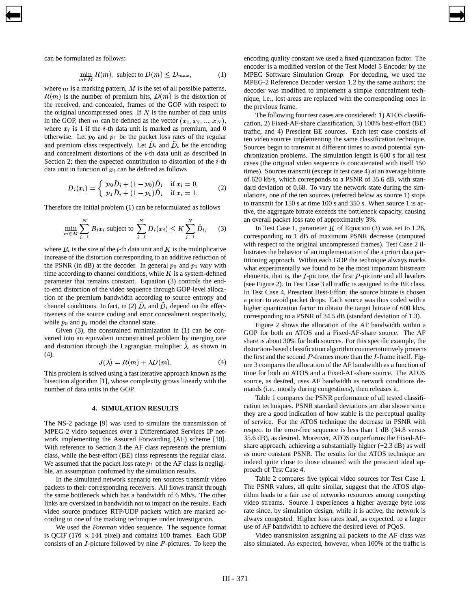can be formulated as follows:

<span id="page-2-0"></span>[➡](#page-1-0)

$$
\min_{m \in M} R(m), \text{ subject to } D(m) \le D_{max}, \tag{1}
$$

where  $m$  is a marking pattern,  $M$  is the set of all possible patterns,  $R(m)$  is the number of premium bits,  $D(m)$  is the distortion of the received, and concealed, frames of the GOP with respect to the original uncompressed ones. If  $N$  is the number of data units in the GOP, then m can be defined as the vector  $(x_1, x_2, ..., x_N)$ , where  $x_i$  is 1 if the *i*-th data unit is marked as premium, and 0 otherwise. Let  $p_0$  and  $p_1$  be the packet loss rates of the regular and premium class respectively. Let  $\hat{D}_i$  and  $\tilde{D}_i$  be the encoding and concealment distortions of the  $i$ -th data unit as described in Section 2; then the expected contribution to distortion of the  $i$ -th data unit in function of  $x_i$  can be defined as follows

$$
D_i(x_i) = \begin{cases} p_0 \tilde{D}_i + (1 - p_0) \hat{D}_i & \text{if } x_i = 0, \\ p_1 \tilde{D}_i + (1 - p_1) \hat{D}_i & \text{if } x_i = 1. \end{cases}
$$
 (2)

Therefore the initial problem (1) can be reformulated as follows

$$
\min_{m \in M} \sum_{i=1}^{N} B_i x_i \text{ subject to } \sum_{i=1}^{N} D_i(x_i) \le K \sum_{i=1}^{N} \hat{D}_i, \quad (3)
$$

where  $B_i$  is the size of the *i*-th data unit and K is the multiplicative increase of the distortion corresponding to an additive reduction of the PSNR (in dB) at the decoder. In general  $p_0$  and  $p_1$  vary with time according to channel conditions, while  $K$  is a system-defined parameter that remains constant. Equation (3) controls the endto-end distortion of the video sequence through GOP-level allocation of the premium bandwidth according to source entropy and channel conditions. In fact, in (2)  $\hat{D}_i$  and  $\tilde{D}_i$  depend on the effectiveness of the source coding and error concealment respectively, while  $p_0$  and  $p_1$  model the channel state.

Given (3), the constrained minimization in (1) can be converted into an equivalent unconstrained problem by merging rate and distortion through the Lagrangian multiplier  $\lambda$ , as shown in  $(4).$ 

$$
J(\lambda) = R(m) + \lambda D(m). \tag{4}
$$

This problem is solved using a fast iterative approach known as the bisection algorithm [1], whose complexity grows linearly with the number of data units in the GOP.

### **4. SIMULATION RESULTS**

The NS-2 package [9] was used to simulate the transmission of MPEG-2 video sequences over a Differentiated Services IP network implementing the Assured Forwarding (AF) scheme [10]. With reference to Section 3 the AF class represents the premium class, while the best-effort (BE) class represents the regular class. We assumed that the packet loss rate  $p_1$  of the AF class is negligible, an assumption confirmed by the simulation results.

In the simulated network scenario ten sources transmit video packets to their corresponding receivers. All flows transit through the same bottleneck which has a bandwidth of 6 Mb/s. The other links are oversized in bandwidth not to impact on the results. Each video source produces RTP/UDP packets which are marked according to one of the marking techniques under investigation.

We used the *Foreman* video sequence. The sequence format is QCIF ( $176 \times 144$  pixel) and contains 100 frames. Each GOP consists of an  $I$ -picture followed by nine  $P$ -pictures. To keep the encoding quality constant we used a fixed quantization factor. The encoder is a modified version of the Test Model 5 Encoder by the MPEG Software Simulation Group. For decoding, we used the MPEG-2 Reference Decoder version 1.2 by the same authors; the decoder was modified to implement a simple concealment technique, i.e., lost areas are replaced with the corresponding ones in the previous frame.

[➡](#page-3-0)

The following four test cases are considered: 1) ATOS classification, 2) Fixed-AF-share classification, 3) 100% best-effort (BE) traffic, and 4) Prescient BE sources. Each test case consists of ten video sources implementing the same classification technique. Sources begin to transmit at different times to avoid potential synchronization problems. The simulation length is 600 s for all test cases (the original video sequence is concatenated with itself 150 times). Sources transmit (except in test case 4) at an average bitrate of 620 kb/s, which corresponds to a PSNR of 35.6 dB, with standard deviation of 0.68. To vary the network state during the simulations, one of the ten sources (referred below as source 1) stops to transmit for 150 s at time 100 s and 350 s. When source 1 is active, the aggregate bitrate exceeds the bottleneck capacity, causing an overall packet loss rate of approximately 3%.

 $\sum \hat{D}_i$ , (3) In Test Case 1, parameter K of Equation (3) was set to 1.26, corresponding to 1 dB of maximum PSNR decrease (computed with respect to the original uncompressed frames). Test Case 2 illustrates the behavior of an implementation of the a priori data partitioning approach. Within each GOP the technique always marks what experimentally we found to be the most important bitstream elements, that is, the  $I$ -picture, the first  $P$ -picture and all headers (see Figure 2). In Test Case 3 all traffic is assigned to the BE class. In Test Case 4, Prescient Best-Effort, the source bitrate is chosen a priori to avoid packet drops. Each source was thus coded with a higher quantization factor to obtain the target bitrate of 600 kb/s, corresponding to a PSNR of 34.5 dB (standard deviation of 1.3).

> Figure 2 shows the allocation of the AF bandwidth within a GOP for both an ATOS and a Fixed-AF-share source. The AF share is about 30% for both sources. For this specific example, the distortion-based classification algorithm counterintuitively protects the first and the second  $P$ -frames more than the  $I$ -frame itself. Figure 3 compares the allocation of the AF bandwidth as a function of time for both an ATOS and a Fixed-AF-share source. The ATOS source, as desired, uses AF bandwidth as network conditions demands (i.e., mostly during congestions), then releases it.

> Table 1 compares the PSNR performance of all tested classification techniques. PSNR standard deviations are also shown since they are a good indication of how stable is the perceptual quality of service. For the ATOS technique the decrease in PSNR with respect to the error-free sequence is less than 1 dB (34.8 versus 35.6 dB), as desired. Moreover, ATOS outperforms the Fixed-AFshare approach, achieving a substantially higher  $(+2.3 \text{ dB})$  as well as more constant PSNR. The results for the ATOS technique are indeed quite close to those obtained with the prescient ideal approach of Test Case 4.

> Table 2 compares five typical video sources for Test Case 1. The PSNR values, all quite similar, suggest that the ATOS algorithm leads to a fair use of networks resources among competing video streams. Source 1 experiences a higher average byte loss rate since, by simulation design, while it is active, the network is always congested. Higher loss rates lead, as expected, to a larger use of AF bandwidth to achieve the desired level of PQoS.

> Video transmission assigning all packets to the AF class was also simulated. As expected, however, when 100% of the traffic is